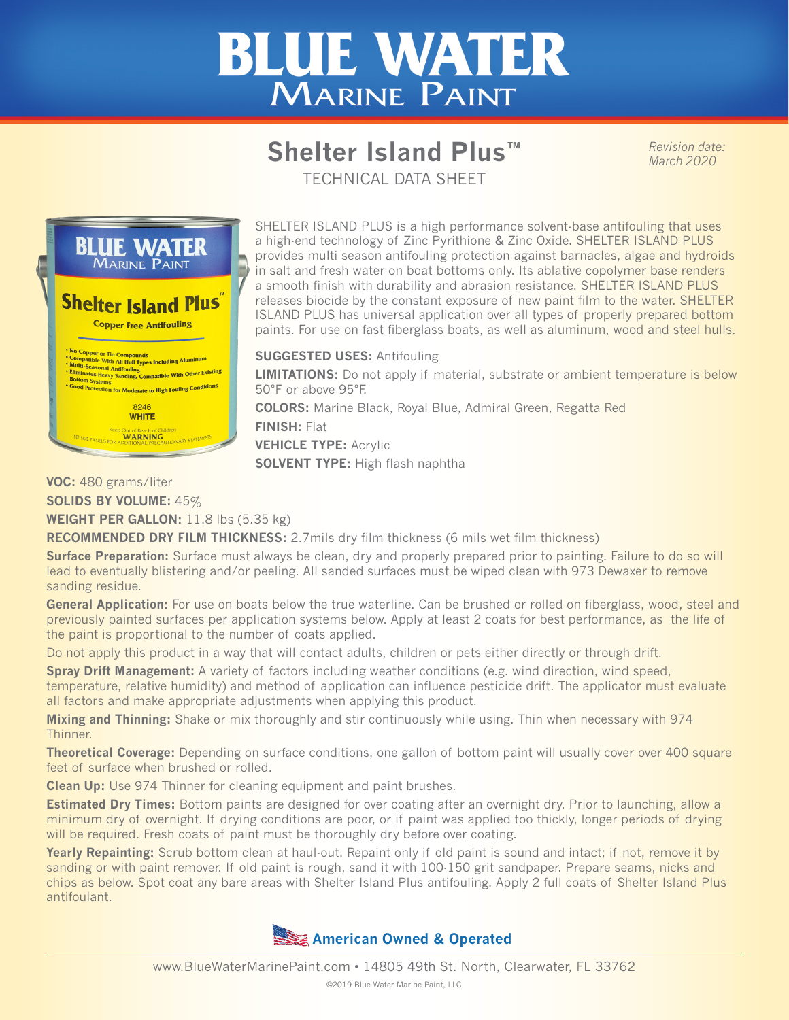# **BLUE WATER** MARINE PAINT

## **Shelter Island Plus™**

*Revision date: March 2020*

TECHNICAL DATA SHEET



SHELTER ISLAND PLUS is a high performance solvent-base antifouling that uses a high-end technology of Zinc Pyrithione & Zinc Oxide. SHELTER ISLAND PLUS provides multi season antifouling protection against barnacles, algae and hydroids in salt and fresh water on boat bottoms only. Its ablative copolymer base renders a smooth finish with durability and abrasion resistance. SHELTER ISLAND PLUS releases biocide by the constant exposure of new paint film to the water. SHELTER ISLAND PLUS has universal application over all types of properly prepared bottom paints. For use on fast fiberglass boats, as well as aluminum, wood and steel hulls.

#### **SUGGESTED USES:** Antifouling

**LIMITATIONS:** Do not apply if material, substrate or ambient temperature is below 50°F or above 95°F.

**COLORS:** Marine Black, Royal Blue, Admiral Green, Regatta Red **FINISH:** Flat

**VEHICLE TYPE:** Acrylic

**SOLVENT TYPE:** High flash naphtha

#### **VOC:** 480 grams/liter

**SOLIDS BY VOLUME:** 45%

**WEIGHT PER GALLON:** 11.8 lbs (5.35 kg)

**RECOMMENDED DRY FILM THICKNESS:** 2.7mils dry film thickness (6 mils wet film thickness)

**Surface Preparation:** Surface must always be clean, dry and properly prepared prior to painting. Failure to do so will lead to eventually blistering and/or peeling. All sanded surfaces must be wiped clean with 973 Dewaxer to remove sanding residue.

**General Application:** For use on boats below the true waterline. Can be brushed or rolled on fiberglass, wood, steel and previously painted surfaces per application systems below. Apply at least 2 coats for best performance, as the life of the paint is proportional to the number of coats applied.

Do not apply this product in a way that will contact adults, children or pets either directly or through drift.

**Spray Drift Management:** A variety of factors including weather conditions (e.g. wind direction, wind speed, temperature, relative humidity) and method of application can influence pesticide drift. The applicator must evaluate all factors and make appropriate adjustments when applying this product.

**Mixing and Thinning:** Shake or mix thoroughly and stir continuously while using. Thin when necessary with 974 Thinner.

**Theoretical Coverage:** Depending on surface conditions, one gallon of bottom paint will usually cover over 400 square feet of surface when brushed or rolled.

**Clean Up:** Use 974 Thinner for cleaning equipment and paint brushes.

**Estimated Dry Times:** Bottom paints are designed for over coating after an overnight dry. Prior to launching, allow a minimum dry of overnight. If drying conditions are poor, or if paint was applied too thickly, longer periods of drying will be required. Fresh coats of paint must be thoroughly dry before over coating.

**Yearly Repainting:** Scrub bottom clean at haul-out. Repaint only if old paint is sound and intact; if not, remove it by sanding or with paint remover. If old paint is rough, sand it with 100-150 grit sandpaper. Prepare seams, nicks and chips as below. Spot coat any bare areas with Shelter Island Plus antifouling. Apply 2 full coats of Shelter Island Plus antifoulant.